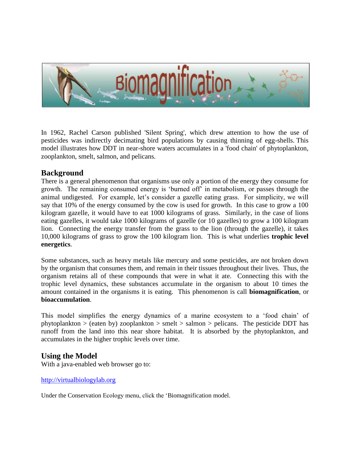

In 1962, Rachel Carson published 'Silent Spring', which drew attention to how the use of pesticides was indirectly decimating bird populations by causing thinning of egg-shells. This model illustrates how DDT in near-shore waters accumulates in a 'food chain' of phytoplankton, zooplankton, smelt, salmon, and pelicans.

## **Background**

There is a general phenomenon that organisms use only a portion of the energy they consume for growth. The remaining consumed energy is 'burned off' in metabolism, or passes through the animal undigested. For example, let's consider a gazelle eating grass. For simplicity, we will say that 10% of the energy consumed by the cow is used for growth. In this case to grow a 100 kilogram gazelle, it would have to eat 1000 kilograms of grass. Similarly, in the case of lions eating gazelles, it would take 1000 kilograms of gazelle (or 10 gazelles) to grow a 100 kilogram lion. Connecting the energy transfer from the grass to the lion (through the gazelle), it takes 10,000 kilograms of grass to grow the 100 kilogram lion. This is what underlies **trophic level energetics**.

Some substances, such as heavy metals like mercury and some pesticides, are not broken down by the organism that consumes them, and remain in their tissues throughout their lives. Thus, the organism retains all of these compounds that were in what it ate. Connecting this with the trophic level dynamics, these substances accumulate in the organism to about 10 times the amount contained in the organisms it is eating. This phenomenon is call **biomagnification**, or **bioaccumulation**.

This model simplifies the energy dynamics of a marine ecosystem to a 'food chain' of phytoplankton > (eaten by) zooplankton > smelt > salmon > pelicans. The pesticide DDT has runoff from the land into this near shore habitat. It is absorbed by the phytoplankton, and accumulates in the higher trophic levels over time.

## **Using the Model**

With a java-enabled web browser go to:

## [http://virtualbiologylab.org](http://virtualbiologylab.org/Microcosm.htm)

Under the Conservation Ecology menu, click the 'Biomagnification model.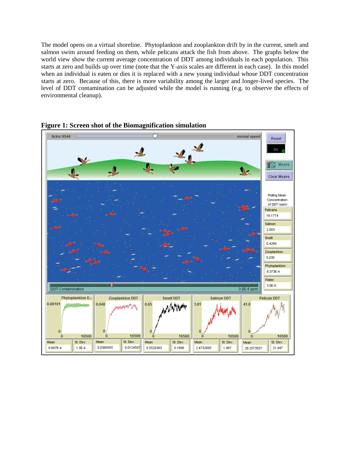The model opens on a virtual shoreline. Phytoplankton and zooplankton drift by in the current, smelt and salmon swim around feeding on them, while pelicans attack the fish from above. The graphs below the world view show the current average concentration of DDT among individuals in each population. This starts at zero and builds up over time (note that the Y-axis scales are different in each case). In this model when an individual is eaten or dies it is replaced with a new young individual whose DDT concentration starts at zero. Because of this, there is more variability among the larger and longer-lived species. The level of DDT contamination can be adjusted while the model is running (e.g. to observe the effects of environmental cleanup).



**Figure 1: Screen shot of the Biomagnification simulation**